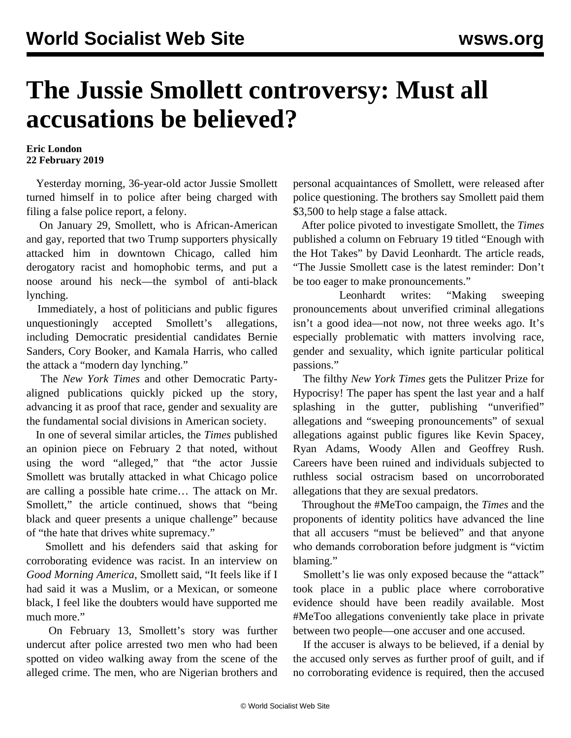## **The Jussie Smollett controversy: Must all accusations be believed?**

## **Eric London 22 February 2019**

 Yesterday morning, 36-year-old actor Jussie Smollett turned himself in to police after being charged with filing a false police report, a felony.

 On January 29, Smollett, who is African-American and gay, reported that two Trump supporters physically attacked him in downtown Chicago, called him derogatory racist and homophobic terms, and put a noose around his neck—the symbol of anti-black lynching.

 Immediately, a host of politicians and public figures unquestioningly accepted Smollett's allegations, including Democratic presidential candidates Bernie Sanders, Cory Booker, and Kamala Harris, who called the attack a "modern day lynching."

 The *New York Times* and other Democratic Partyaligned publications quickly picked up the story, advancing it as proof that race, gender and sexuality are the fundamental social divisions in American society.

 In one of several similar articles, the *Times* published an opinion piece on February 2 that noted, without using the word "alleged," that "the actor Jussie Smollett was brutally attacked in what Chicago police are calling a possible hate crime… The attack on Mr. Smollett," the article continued, shows that "being black and queer presents a unique challenge" because of "the hate that drives white supremacy."

 Smollett and his defenders said that asking for corroborating evidence was racist. In an interview on *Good Morning America*, Smollett said, "It feels like if I had said it was a Muslim, or a Mexican, or someone black, I feel like the doubters would have supported me much more."

 On February 13, Smollett's story was further undercut after police arrested two men who had been spotted on video walking away from the scene of the alleged crime. The men, who are Nigerian brothers and personal acquaintances of Smollett, were released after police questioning. The brothers say Smollett paid them \$3,500 to help stage a false attack.

 After police pivoted to investigate Smollett, the *Times* published a column on February 19 titled "Enough with the Hot Takes" by David Leonhardt. The article reads, "The Jussie Smollett case is the latest reminder: Don't be too eager to make pronouncements."

 Leonhardt writes: "Making sweeping pronouncements about unverified criminal allegations isn't a good idea—not now, not three weeks ago. It's especially problematic with matters involving race, gender and sexuality, which ignite particular political passions."

 The filthy *New York Times* gets the Pulitzer Prize for Hypocrisy! The paper has spent the last year and a half splashing in the gutter, publishing "unverified" allegations and "sweeping pronouncements" of sexual allegations against public figures like Kevin Spacey, Ryan Adams, Woody Allen and Geoffrey Rush. Careers have been ruined and individuals subjected to ruthless social ostracism based on uncorroborated allegations that they are sexual predators.

 Throughout the #MeToo campaign, the *Times* and the proponents of identity politics have advanced the line that all accusers "must be believed" and that anyone who demands corroboration before judgment is "victim blaming."

 Smollett's lie was only exposed because the "attack" took place in a public place where corroborative evidence should have been readily available. Most #MeToo allegations conveniently take place in private between two people—one accuser and one accused.

 If the accuser is always to be believed, if a denial by the accused only serves as further proof of guilt, and if no corroborating evidence is required, then the accused